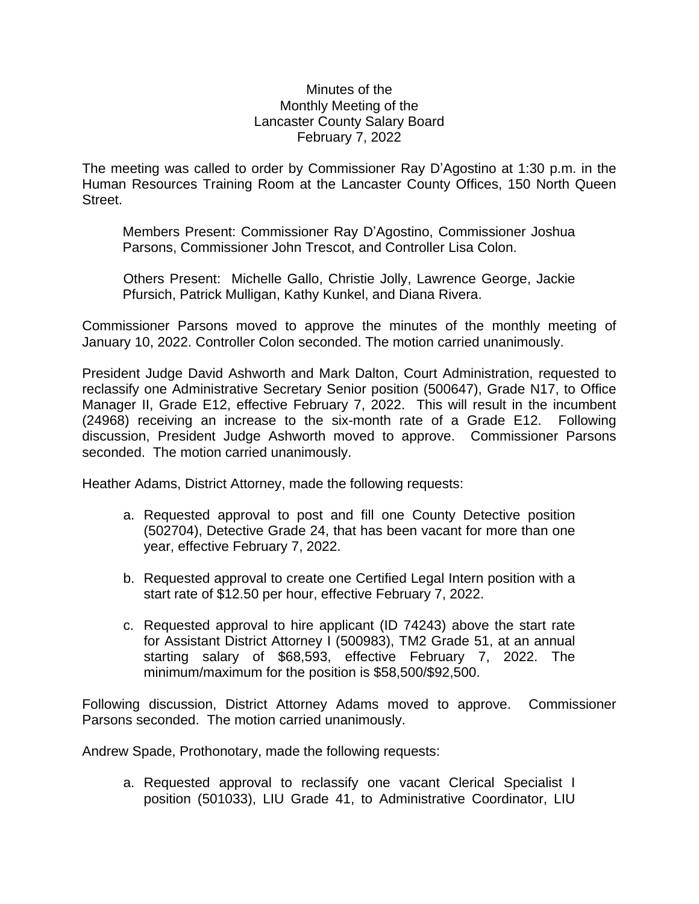## Minutes of the Monthly Meeting of the Lancaster County Salary Board February 7, 2022

The meeting was called to order by Commissioner Ray D'Agostino at 1:30 p.m. in the Human Resources Training Room at the Lancaster County Offices, 150 North Queen Street.

Members Present: Commissioner Ray D'Agostino, Commissioner Joshua Parsons, Commissioner John Trescot, and Controller Lisa Colon.

Others Present: Michelle Gallo, Christie Jolly, Lawrence George, Jackie Pfursich, Patrick Mulligan, Kathy Kunkel, and Diana Rivera.

Commissioner Parsons moved to approve the minutes of the monthly meeting of January 10, 2022. Controller Colon seconded. The motion carried unanimously.

President Judge David Ashworth and Mark Dalton, Court Administration, requested to reclassify one Administrative Secretary Senior position (500647), Grade N17, to Office Manager II, Grade E12, effective February 7, 2022. This will result in the incumbent (24968) receiving an increase to the six-month rate of a Grade E12. Following discussion, President Judge Ashworth moved to approve. Commissioner Parsons seconded. The motion carried unanimously.

Heather Adams, District Attorney, made the following requests:

- a. Requested approval to post and fill one County Detective position (502704), Detective Grade 24, that has been vacant for more than one year, effective February 7, 2022.
- b. Requested approval to create one Certified Legal Intern position with a start rate of \$12.50 per hour, effective February 7, 2022.
- c. Requested approval to hire applicant (ID 74243) above the start rate for Assistant District Attorney I (500983), TM2 Grade 51, at an annual starting salary of \$68,593, effective February 7, 2022. The minimum/maximum for the position is \$58,500/\$92,500.

Following discussion, District Attorney Adams moved to approve. Commissioner Parsons seconded. The motion carried unanimously.

Andrew Spade, Prothonotary, made the following requests:

a. Requested approval to reclassify one vacant Clerical Specialist I position (501033), LIU Grade 41, to Administrative Coordinator, LIU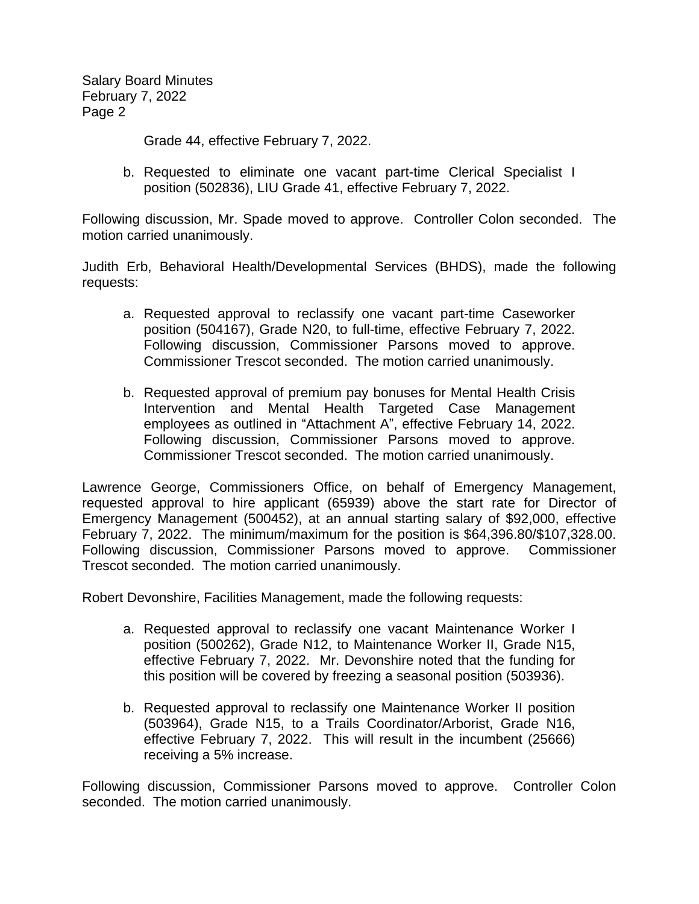Salary Board Minutes February 7, 2022 Page 2

Grade 44, effective February 7, 2022.

b. Requested to eliminate one vacant part-time Clerical Specialist I position (502836), LIU Grade 41, effective February 7, 2022.

Following discussion, Mr. Spade moved to approve. Controller Colon seconded. The motion carried unanimously.

Judith Erb, Behavioral Health/Developmental Services (BHDS), made the following requests:

- a. Requested approval to reclassify one vacant part-time Caseworker position (504167), Grade N20, to full-time, effective February 7, 2022. Following discussion, Commissioner Parsons moved to approve. Commissioner Trescot seconded. The motion carried unanimously.
- b. Requested approval of premium pay bonuses for Mental Health Crisis Intervention and Mental Health Targeted Case Management employees as outlined in "Attachment A", effective February 14, 2022. Following discussion, Commissioner Parsons moved to approve. Commissioner Trescot seconded. The motion carried unanimously.

Lawrence George, Commissioners Office, on behalf of Emergency Management, requested approval to hire applicant (65939) above the start rate for Director of Emergency Management (500452), at an annual starting salary of \$92,000, effective February 7, 2022. The minimum/maximum for the position is \$64,396.80/\$107,328.00. Following discussion, Commissioner Parsons moved to approve. Commissioner Trescot seconded. The motion carried unanimously.

Robert Devonshire, Facilities Management, made the following requests:

- a. Requested approval to reclassify one vacant Maintenance Worker I position (500262), Grade N12, to Maintenance Worker II, Grade N15, effective February 7, 2022. Mr. Devonshire noted that the funding for this position will be covered by freezing a seasonal position (503936).
- b. Requested approval to reclassify one Maintenance Worker II position (503964), Grade N15, to a Trails Coordinator/Arborist, Grade N16, effective February 7, 2022. This will result in the incumbent (25666) receiving a 5% increase.

Following discussion, Commissioner Parsons moved to approve. Controller Colon seconded. The motion carried unanimously.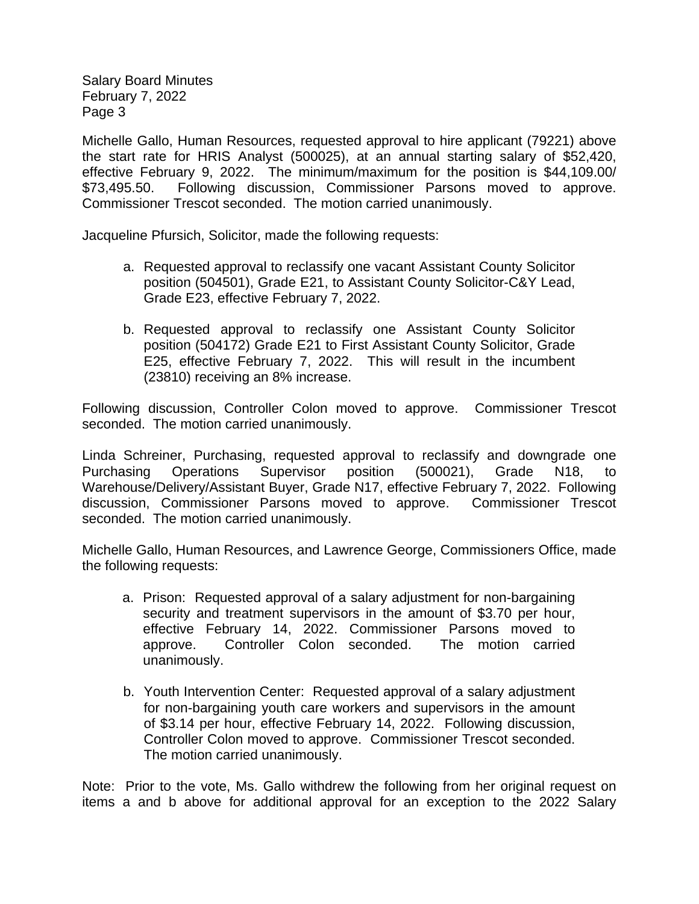Salary Board Minutes February 7, 2022 Page 3

Michelle Gallo, Human Resources, requested approval to hire applicant (79221) above the start rate for HRIS Analyst (500025), at an annual starting salary of \$52,420, effective February 9, 2022. The minimum/maximum for the position is \$44,109.00/ \$73,495.50. Following discussion, Commissioner Parsons moved to approve. Commissioner Trescot seconded. The motion carried unanimously.

Jacqueline Pfursich, Solicitor, made the following requests:

- a. Requested approval to reclassify one vacant Assistant County Solicitor position (504501), Grade E21, to Assistant County Solicitor-C&Y Lead, Grade E23, effective February 7, 2022.
- b. Requested approval to reclassify one Assistant County Solicitor position (504172) Grade E21 to First Assistant County Solicitor, Grade E25, effective February 7, 2022. This will result in the incumbent (23810) receiving an 8% increase.

Following discussion, Controller Colon moved to approve. Commissioner Trescot seconded. The motion carried unanimously.

Linda Schreiner, Purchasing, requested approval to reclassify and downgrade one Purchasing Operations Supervisor position (500021), Grade N18, to Warehouse/Delivery/Assistant Buyer, Grade N17, effective February 7, 2022. Following discussion, Commissioner Parsons moved to approve. Commissioner Trescot seconded. The motion carried unanimously.

Michelle Gallo, Human Resources, and Lawrence George, Commissioners Office, made the following requests:

- a. Prison: Requested approval of a salary adjustment for non-bargaining security and treatment supervisors in the amount of \$3.70 per hour, effective February 14, 2022. Commissioner Parsons moved to approve. Controller Colon seconded. The motion carried unanimously.
- b. Youth Intervention Center: Requested approval of a salary adjustment for non-bargaining youth care workers and supervisors in the amount of \$3.14 per hour, effective February 14, 2022. Following discussion, Controller Colon moved to approve. Commissioner Trescot seconded. The motion carried unanimously.

Note: Prior to the vote, Ms. Gallo withdrew the following from her original request on items a and b above for additional approval for an exception to the 2022 Salary